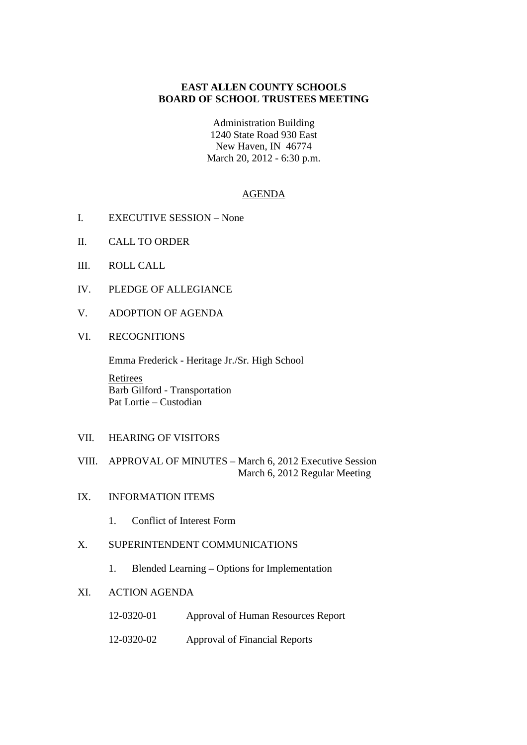## **EAST ALLEN COUNTY SCHOOLS BOARD OF SCHOOL TRUSTEES MEETING**

Administration Building

1240 State Road 930 East New Haven, IN 46774 March 20, 2012 - 6:30 p.m.

### AGENDA

- I. EXECUTIVE SESSION None
- II. CALL TO ORDER
- III. ROLL CALL
- IV. PLEDGE OF ALLEGIANCE
- V. ADOPTION OF AGENDA
- VI. RECOGNITIONS

Emma Frederick - Heritage Jr./Sr. High School

Retirees Barb Gilford - Transportation Pat Lortie – Custodian

- VII. HEARING OF VISITORS
- VIII. APPROVAL OF MINUTES March 6, 2012 Executive Session March 6, 2012 Regular Meeting
- IX. INFORMATION ITEMS
	- 1. Conflict of Interest Form
- X. SUPERINTENDENT COMMUNICATIONS
	- 1. Blended Learning Options for Implementation

## XI. ACTION AGENDA

- 12-0320-01 Approval of Human Resources Report
- 12-0320-02 Approval of Financial Reports